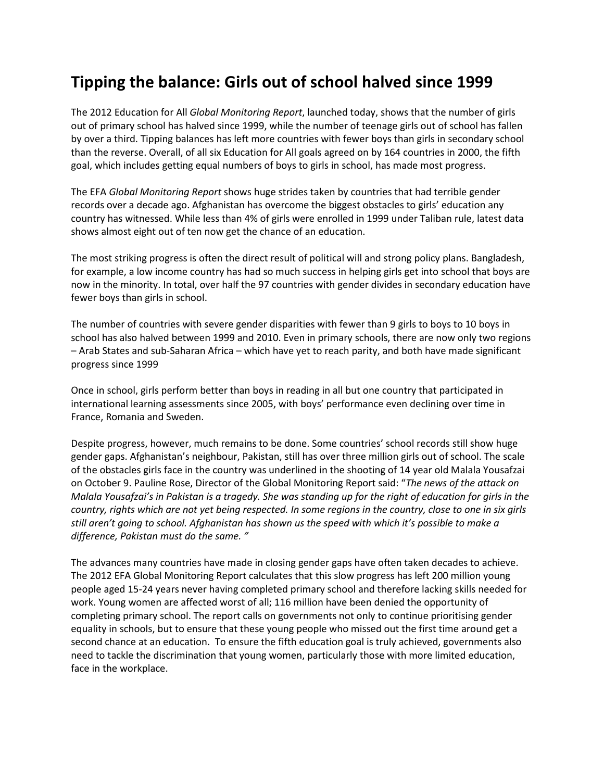## **Tipping the balance: Girls out of school halved since 1999**

The 2012 Education for All *Global Monitoring Report*, launched today, shows that the number of girls out of primary school has halved since 1999, while the number of teenage girls out of school has fallen by over a third. Tipping balances has left more countries with fewer boys than girls in secondary school than the reverse. Overall, of all six Education for All goals agreed on by 164 countries in 2000, the fifth goal, which includes getting equal numbers of boys to girls in school, has made most progress.

The EFA *Global Monitoring Report* shows huge strides taken by countries that had terrible gender records over a decade ago. Afghanistan has overcome the biggest obstacles to girls' education any country has witnessed. While less than 4% of girls were enrolled in 1999 under Taliban rule, latest data shows almost eight out of ten now get the chance of an education.

The most striking progress is often the direct result of political will and strong policy plans. Bangladesh, for example, a low income country has had so much success in helping girls get into school that boys are now in the minority. In total, over half the 97 countries with gender divides in secondary education have fewer boys than girls in school.

The number of countries with severe gender disparities with fewer than 9 girls to boys to 10 boys in school has also halved between 1999 and 2010. Even in primary schools, there are now only two regions – Arab States and sub-Saharan Africa – which have yet to reach parity, and both have made significant progress since 1999

Once in school, girls perform better than boys in reading in all but one country that participated in international learning assessments since 2005, with boys' performance even declining over time in France, Romania and Sweden.

Despite progress, however, much remains to be done. Some countries' school records still show huge gender gaps. Afghanistan's neighbour, Pakistan, still has over three million girls out of school. The scale of the obstacles girls face in the country was underlined in the shooting of 14 year old Malala Yousafzai on October 9. Pauline Rose, Director of the Global Monitoring Report said: "*The news of the attack on Malala Yousafzai's in Pakistan is a tragedy. She was standing up for the right of education for girls in the country, rights which are not yet being respected. In some regions in the country, close to one in six girls still aren't going to school. Afghanistan has shown us the speed with which it's possible to make a difference, Pakistan must do the same. "*

The advances many countries have made in closing gender gaps have often taken decades to achieve. The 2012 EFA Global Monitoring Report calculates that this slow progress has left 200 million young people aged 15-24 years never having completed primary school and therefore lacking skills needed for work. Young women are affected worst of all; 116 million have been denied the opportunity of completing primary school. The report calls on governments not only to continue prioritising gender equality in schools, but to ensure that these young people who missed out the first time around get a second chance at an education. To ensure the fifth education goal is truly achieved, governments also need to tackle the discrimination that young women, particularly those with more limited education, face in the workplace.